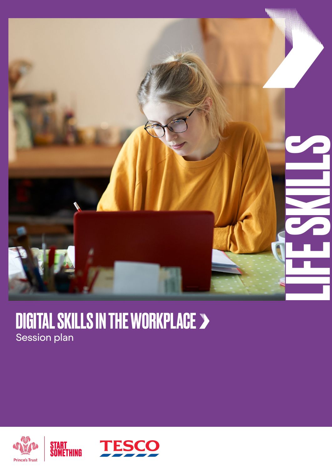

### DIGITAL SKILLS IN THE WORKPLACE Session plan



START<br>Something

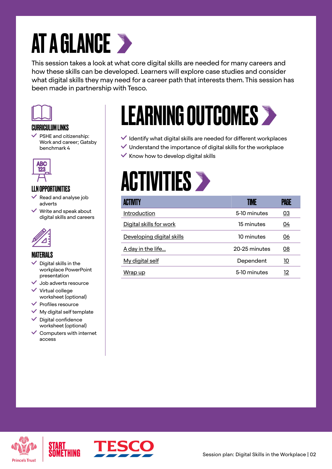### AT A GLANCE >

This session takes a look at what core digital skills are needed for many careers and how these skills can be developed. Learners will explore case studies and consider what digital skills they may need for a career path that interests them. This session has been made in partnership with Tesco.



#### CURRICULUM LINKS

 $\checkmark$  PSHE and citizenship: Work and career; Gatsby benchmark 4



### LLN OPPORTUNITIES

- Read and analyse job adverts
- $\vee$  Write and speak about digital skills and careers



#### **MATFRIALS**

- Digital skills in the workplace PowerPoint presentation
- $\checkmark$  Job adverts resource
- $\checkmark$  Virtual college worksheet (optional)
- $\checkmark$  Profiles resource
- $\checkmark$  My digital self template
- $\checkmark$  Digital confidence worksheet (optional)
- $\checkmark$  Computers with internet access

### LEARNING OUTCOMES >

- $\checkmark$  Identify what digital skills are needed for different workplaces
- $\blacktriangleright$  Understand the importance of digital skills for the workplace
- $\checkmark$  Know how to develop digital skills

### **ACTIVITIES >**

| <b>ACTIVITY</b>           | TIME          | PAGE      |
|---------------------------|---------------|-----------|
| <b>Introduction</b>       | 5-10 minutes  | <u>03</u> |
| Digital skills for work   | 15 minutes    | 04        |
| Developing digital skills | 10 minutes    | 06        |
| A day in the life         | 20-25 minutes | 08        |
| My digital self           | Dependent     | 10        |
| Wrap up                   | 5-10 minutes  | 12        |



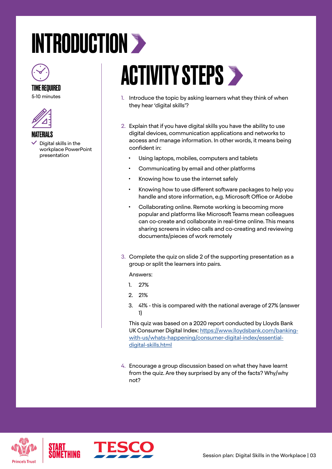# <span id="page-2-0"></span>INTRODUCTION >



### TIME REQUIRED

5-10 minutes





 $\vee$  Digital skills in the workplace PowerPoint presentation

### **ACTIVITY STEPS >**

- 1. Introduce the topic by asking learners what they think of when they hear 'digital skills'?
- 2. Explain that if you have digital skills you have the ability to use digital devices, communication applications and networks to access and manage information. In other words, it means being confident in:
	- Using laptops, mobiles, computers and tablets
	- Communicating by email and other platforms
	- Knowing how to use the internet safely
	- Knowing how to use different software packages to help you handle and store information, e.g. Microsoft Office or Adobe
	- Collaborating online. Remote working is becoming more popular and platforms like Microsoft Teams mean colleagues can co-create and collaborate in real-time online. This means sharing screens in video calls and co-creating and reviewing documents/pieces of work remotely
- 3. Complete the quiz on slide 2 of the supporting presentation as a group or split the learners into pairs.

Answers:

- 1. 27%
- 2. 21%
- 3. 41% this is compared with the national average of 27% (answer 1)

This quiz was based on a 2020 report conducted by Lloyds Bank UK Consumer Digital Index: [https://www.lloydsbank.com/banking](https://www.lloydsbank.com/banking-with-us/whats-happening/consumer-digital-index/essential-digital-skills.html)[with-us/whats-happening/consumer-digital-index/essential](https://www.lloydsbank.com/banking-with-us/whats-happening/consumer-digital-index/essential-digital-skills.html)[digital-skills.html](https://www.lloydsbank.com/banking-with-us/whats-happening/consumer-digital-index/essential-digital-skills.html)

4. Encourage a group discussion based on what they have learnt from the quiz. Are they surprised by any of the facts? Why/why not?





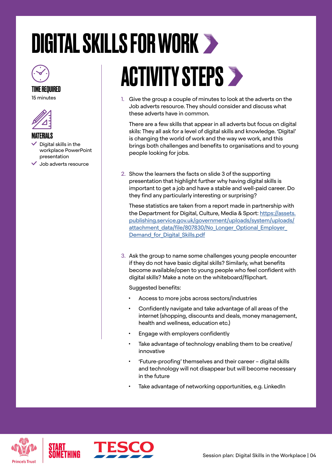# <span id="page-3-0"></span>DIGITAL SKILLS FOR WORK



#### TIME REQUIRED

15 minutes



#### **MATFRIALS**

- Digital skills in the workplace PowerPoint presentation
- $\vee$  Job adverts resource

# **ACTIVITY STEPS >**

1. Give the group a couple of minutes to look at the adverts on the Job adverts resource. They should consider and discuss what these adverts have in common.

There are a few skills that appear in all adverts but focus on digital skils: They all ask for a level of digital skills and knowledge. 'Digital' is changing the world of work and the way we work, and this brings both challenges and benefits to organisations and to young people looking for jobs.

2. Show the learners the facts on slide 3 of the supporting presentation that highlight further why having digital skills is important to get a job and have a stable and well-paid career. Do they find any particularly interesting or surprising?

These statistics are taken from a report made in partnership with the Department for Digital, Culture, Media & Sport: [https://assets.](https://assets.publishing.service.gov.uk/government/uploads/system/uploads/attachment_data/file/807830/No_Longer_Optional_Employer_Demand_for_Digital_Skills.pdf) [publishing.service.gov.uk/government/uploads/system/uploads/](https://assets.publishing.service.gov.uk/government/uploads/system/uploads/attachment_data/file/807830/No_Longer_Optional_Employer_Demand_for_Digital_Skills.pdf) [attachment\\_data/file/807830/No\\_Longer\\_Optional\\_Employer\\_](https://assets.publishing.service.gov.uk/government/uploads/system/uploads/attachment_data/file/807830/No_Longer_Optional_Employer_Demand_for_Digital_Skills.pdf) Demand for Digital Skills.pdf

3. Ask the group to name some challenges young people encounter if they do not have basic digital skills? Similarly, what benefits become available/open to young people who feel confident with digital skills? Make a note on the whiteboard/flipchart.

Suggested benefits:

- Access to more jobs across sectors/industries
- Confidently navigate and take advantage of all areas of the internet (shopping, discounts and deals, money management, health and wellness, education etc.)
- Engage with employers confidently
- Take advantage of technology enabling them to be creative/ innovative
- 'Future-proofing' themselves and their career digital skills and technology will not disappear but will become necessary in the future
- Take advantage of networking opportunities, e.g. LinkedIn



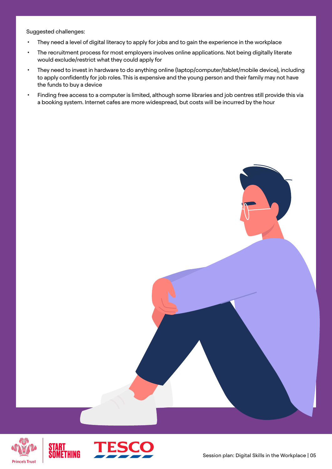Suggested challenges:

- They need a level of digital literacy to apply for jobs and to gain the experience in the workplace
- The recruitment process for most employers involves online applications. Not being digitally literate would exclude/restrict what they could apply for
- They need to invest in hardware to do anything online (laptop/computer/tablet/mobile device), including to apply confidently for job roles. This is expensive and the young person and their family may not have the funds to buy a device
- Finding free access to a computer is limited, although some libraries and job centres still provide this via a booking system. Internet cafes are more widespread, but costs will be incurred by the hour



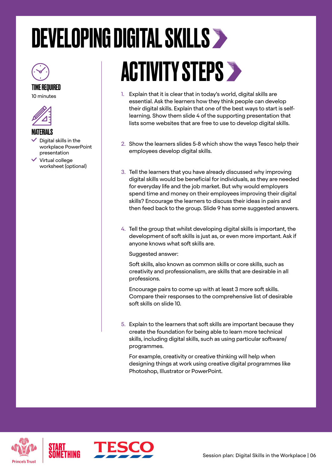## <span id="page-5-0"></span>DEVELOPING DIGITAL SKILLS



TIME REQUIRED 10 minutes





- Digital skills in the workplace PowerPoint presentation
- $\checkmark$  Virtual college worksheet (optional)

# ACTIVITY STEPS >

- 1. Explain that it is clear that in today's world, digital skills are essential. Ask the learners how they think people can develop their digital skills. Explain that one of the best ways to start is selflearning. Show them slide 4 of the supporting presentation that lists some websites that are free to use to develop digital skills.
- 2. Show the learners slides 5-8 which show the ways Tesco help their employees develop digital skills.
- 3. Tell the learners that you have already discussed why improving digital skills would be beneficial for individuals, as they are needed for everyday life and the job market. But why would employers spend time and money on their employees improving their digital skills? Encourage the learners to discuss their ideas in pairs and then feed back to the group. Slide 9 has some suggested answers.
- 4. Tell the group that whilst developing digital skills is important, the development of soft skills is just as, or even more important. Ask if anyone knows what soft skills are.

Suggested answer:

Soft skills, also known as common skills or core skills, such as creativity and professionalism, are skills that are desirable in all professions.

Encourage pairs to come up with at least 3 more soft skills. Compare their responses to the comprehensive list of desirable soft skills on slide 10.

5. Explain to the learners that soft skills are important because they create the foundation for being able to learn more technical skills, including digital skills, such as using particular software/ programmes.

For example, creativity or creative thinking will help when designing things at work using creative digital programmes like Photoshop, Illustrator or PowerPoint.



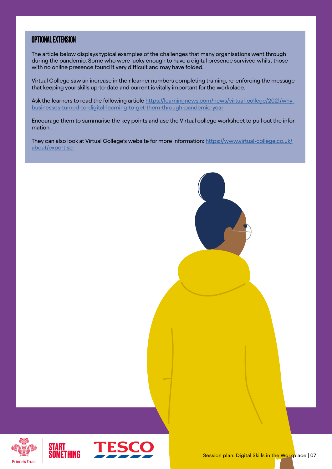#### OPTIONAL EXTENSION

The article below displays typical examples of the challenges that many organisations went through during the pandemic. Some who were lucky enough to have a digital presence survived whilst those with no online presence found it very difficult and may have folded.

Virtual College saw an increase in their learner numbers completing training, re-enforcing the message that keeping your skills up-to-date and current is vitally important for the workplace.

Ask the learners to read the following article [https://learningnews.com/news/virtual-college/2021/why](https://learningnews.com/news/virtual-college/2021/why-businesses-turned-to-digital-learning-to-get-them-through-pandemic-year  )[businesses-turned-to-digital-learning-to-get-them-through-pandemic-year](https://learningnews.com/news/virtual-college/2021/why-businesses-turned-to-digital-learning-to-get-them-through-pandemic-year  ) 

Encourage them to summarise the key points and use the Virtual college worksheet to pull out the information.

They can also look at Virtual College's website for more information: [https://www.virtual-college.co.uk/](https://www.virtual-college.co.uk/about/expertise ) [about/expertise](https://www.virtual-college.co.uk/about/expertise ) 





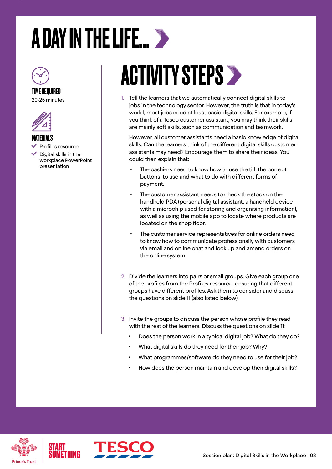### <span id="page-7-0"></span>A DAY IN THE LIFE...



### TIME REQUIRED

20-25 minutes



#### MATERIALS

- Profiles resource
- Digital skills in the workplace PowerPoint presentation

### ACTIVITY STEPS

1. Tell the learners that we automatically connect digital skills to jobs in the technology sector. However, the truth is that in today's world, most jobs need at least basic digital skills. For example, if you think of a Tesco customer assistant, you may think their skills are mainly soft skills, such as communication and teamwork.

However, all customer assistants need a basic knowledge of digital skills. Can the learners think of the different digital skills customer assistants may need? Encourage them to share their ideas. You could then explain that:

- The cashiers need to know how to use the till; the correct buttons to use and what to do with different forms of payment.
- The customer assistant needs to check the stock on the handheld PDA (personal digital assistant, a handheld device with a microchip used for storing and organising information), as well as using the mobile app to locate where products are located on the shop floor.
- The customer service representatives for online orders need to know how to communicate professionally with customers via email and online chat and look up and amend orders on the online system.
- 2. Divide the learners into pairs or small groups. Give each group one of the profiles from the Profiles resource, ensuring that different groups have different profiles. Ask them to consider and discuss the questions on slide 11 (also listed below).
- 3. Invite the groups to discuss the person whose profile they read with the rest of the learners. Discuss the questions on slide 11:
	- Does the person work in a typical digital job? What do they do?
	- What digital skills do they need for their job? Why?
	- What programmes/software do they need to use for their job?
	- How does the person maintain and develop their digital skills?



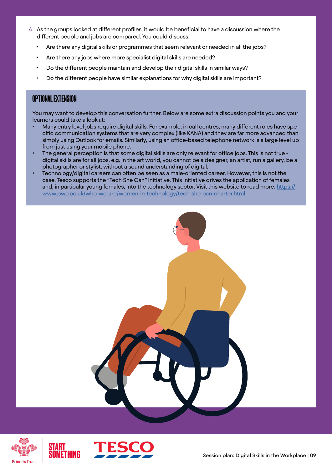- 4. As the groups looked at different profiles, it would be beneficial to have a discussion where the different people and jobs are compared. You could discuss:
	- Are there any digital skills or programmes that seem relevant or needed in all the jobs?
	- Are there any jobs where more specialist digital skills are needed?
	- Do the different people maintain and develop their digital skills in similar ways?
	- Do the different people have similar explanations for why digital skills are important?

#### OPTIONAL EXTENSION

You may want to develop this conversation further. Below are some extra discussion points you and your learners could take a look at:

- Many entry level jobs require digital skills. For example, in call centres, many different roles have specific communication systems that are very complex (like KANA) and they are far more advanced than simply using Outlook for emails. Similarly, using an office-based telephone network is a large level up from just using your mobile phone.
- The general perception is that some digital skills are only relevant for office jobs. This is not true digital skills are for all jobs, e.g. in the art world, you cannot be a designer, an artist, run a gallery, be a photographer or stylist, without a sound understanding of digital.
- Technology/digital careers can often be seen as a male-oriented career. However, this is not the case, Tesco supports the "Tech She Can" initiative. This initiative drives the application of females and, in particular young females, into the technology sector. Visit this website to read more: [https://](https://www.pwc.co.uk/who-we-are/women-in-technology/tech-she-can-charter.html) [www.pwc.co.uk/who-we-are/women-in-technology/tech-she-can-charter.html](https://www.pwc.co.uk/who-we-are/women-in-technology/tech-she-can-charter.html)





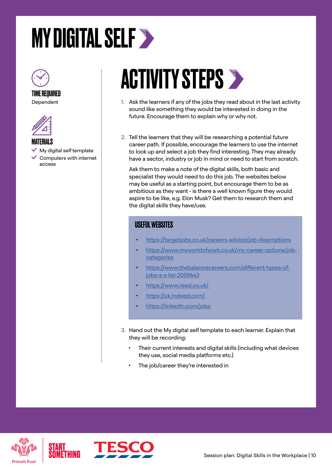### <span id="page-9-0"></span>**MY DIGITAL SELF >**



#### TIME REQUIRED Dependent



#### MATERIALS

 My digital self template  $\checkmark$  Computers with internet access

### **ACTIVITY STEPS >**

- 1. Ask the learners if any of the jobs they read about in the last activity sound like something they would be interested in doing in the future. Encourage them to explain why or why not.
- 2. Tell the learners that they will be researching a potential future career path. If possible, encourage the learners to use the internet to look up and select a job they find interesting. They may already have a sector, industry or job in mind or need to start from scratch.

Ask them to make a note of the digital skills, both basic and specialist they would need to do this job. The websites below may be useful as a starting point, but encourage them to be as ambitious as they want - is there a well known figure they would aspire to be like, e.g. Elon Musk? Get them to research them and the digital skills they have/use.

### USEFUL WEBSITES

- [https://targetjobs.co.uk/careers-advice/job-descriptions](https://targetjobs.co.uk/careers-advice/job-descriptions )
- [https://www.myworldofwork.co.uk/my-career-options/job](https://www.myworldofwork.co.uk/my-career-options/job-categories)[categories](https://www.myworldofwork.co.uk/my-career-options/job-categories)
- [https://www.thebalancecareers.com/different-types-of](https://www.thebalancecareers.com/different-types-of-jobs-a-z-list-2059643)[jobs-a-z-list-2059643](https://www.thebalancecareers.com/different-types-of-jobs-a-z-list-2059643)
- [https://www.reed.co.uk/](https://www.reed.co.uk/ )
- [https://uk.indeed.com/](https://uk.indeed.com/ )
- [https://linkedIn.com/jobs](https://linkedIn.com/jobs )
- 3. Hand out the My digital self template to each learner. Explain that they will be recording:
	- Their current interests and digital skills (including what devices they use, social media platforms etc.)
	- The job/career they're interested in



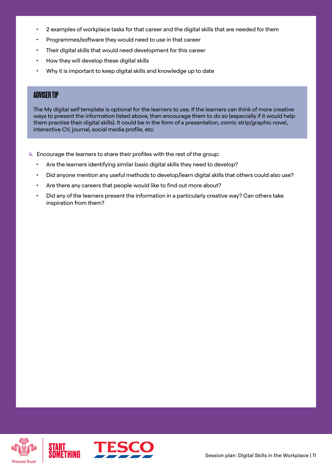- 2 examples of workplace tasks for that career and the digital skills that are needed for them
- Programmes/software they would need to use in that career
- Their digital skills that would need development for this career
- How they will develop these digital skills
- Why it is important to keep digital skills and knowledge up to date

#### ADVISER TIP

The My digital self template is optional for the learners to use. If the learners can think of more creative ways to present the information listed above, then encourage them to do so (especially if it would help them practise their digital skills). It could be in the form of a presentation, comic strip/graphic novel, interactive CV, journal, social media profile, etc.

4. Encourage the learners to share their profiles with the rest of the group:

- Are the learners identifying similar basic digital skills they need to develop?
- Did anyone mention any useful methods to develop/learn digital skills that others could also use?
- Are there any careers that people would like to find out more about?
- Did any of the learners present the information in a particularly creative way? Can others take inspiration from them?